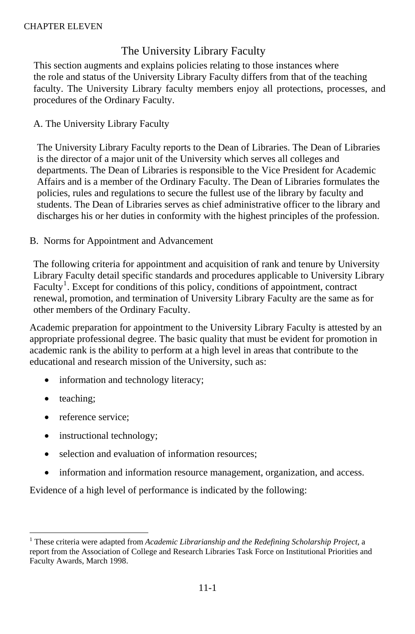# The University Library Faculty

This section augments and explains policies relating to those instances where the role and status of the University Library Faculty differs from that of the teaching faculty. The University Library faculty members enjoy all protections, processes, and procedures of the Ordinary Faculty.

### A. The University Library Faculty

The University Library Faculty reports to the Dean of Libraries. The Dean of Libraries is the director of a major unit of the University which serves all colleges and departments. The Dean of Libraries is responsible to the Vice President for Academic Affairs and is a member of the Ordinary Faculty. The Dean of Libraries formulates the policies, rules and regulations to secure the fullest use of the library by faculty and students. The Dean of Libraries serves as chief administrative officer to the library and discharges his or her duties in conformity with the highest principles of the profession.

### B. Norms for Appointment and Advancement

The following criteria for appointment and acquisition of rank and tenure by University Library Faculty detail specific standards and procedures applicable to University Library Faculty<sup>[1](#page-0-0)</sup>. Except for conditions of this policy, conditions of appointment, contract renewal, promotion, and termination of University Library Faculty are the same as for other members of the Ordinary Faculty.

Academic preparation for appointment to the University Library Faculty is attested by an appropriate professional degree. The basic quality that must be evident for promotion in academic rank is the ability to perform at a high level in areas that contribute to the educational and research mission of the University, such as:

- information and technology literacy;
- teaching;

 $\overline{a}$ 

- reference service;
- instructional technology;
- selection and evaluation of information resources;
- information and information resource management, organization, and access.

Evidence of a high level of performance is indicated by the following:

<span id="page-0-0"></span><sup>&</sup>lt;sup>1</sup> These criteria were adapted from *Academic Librarianship and the Redefining Scholarship Project*, a report from the Association of College and Research Libraries Task Force on Institutional Priorities and Faculty Awards, March 1998.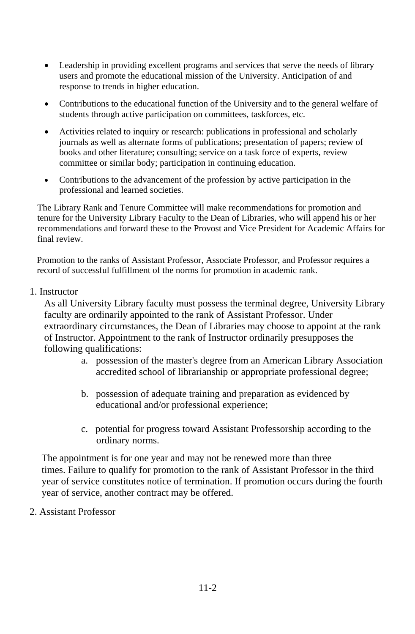- Leadership in providing excellent programs and services that serve the needs of library users and promote the educational mission of the University. Anticipation of and response to trends in higher education.
- Contributions to the educational function of the University and to the general welfare of students through active participation on committees, taskforces, etc.
- Activities related to inquiry or research: publications in professional and scholarly journals as well as alternate forms of publications; presentation of papers; review of books and other literature; consulting; service on a task force of experts, review committee or similar body; participation in continuing education.
- Contributions to the advancement of the profession by active participation in the professional and learned societies.

The Library Rank and Tenure Committee will make recommendations for promotion and tenure for the University Library Faculty to the Dean of Libraries, who will append his or her recommendations and forward these to the Provost and Vice President for Academic Affairs for final review.

Promotion to the ranks of Assistant Professor, Associate Professor, and Professor requires a record of successful fulfillment of the norms for promotion in academic rank.

#### 1. Instructor

As all University Library faculty must possess the terminal degree, University Library faculty are ordinarily appointed to the rank of Assistant Professor. Under extraordinary circumstances, the Dean of Libraries may choose to appoint at the rank of Instructor. Appointment to the rank of Instructor ordinarily presupposes the following qualifications:

- a. possession of the master's degree from an American Library Association accredited school of librarianship or appropriate professional degree;
- b. possession of adequate training and preparation as evidenced by educational and/or professional experience;
- c. potential for progress toward Assistant Professorship according to the ordinary norms.

The appointment is for one year and may not be renewed more than three times. Failure to qualify for promotion to the rank of Assistant Professor in the third year of service constitutes notice of termination. If promotion occurs during the fourth year of service, another contract may be offered.

2. Assistant Professor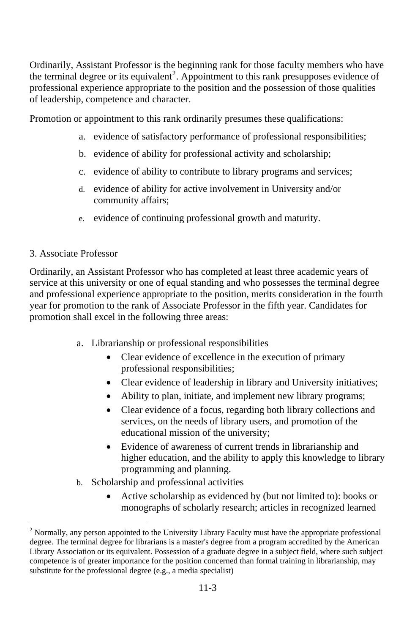Ordinarily, Assistant Professor is the beginning rank for those faculty members who have the terminal degree or its equivalent<sup>[2](#page-2-0)</sup>. Appointment to this rank presupposes evidence of professional experience appropriate to the position and the possession of those qualities of leadership, competence and character.

Promotion or appointment to this rank ordinarily presumes these qualifications:

- a. evidence of satisfactory performance of professional responsibilities;
- b. evidence of ability for professional activity and scholarship;
- c. evidence of ability to contribute to library programs and services;
- d. evidence of ability for active involvement in University and/or community affairs;
- e. evidence of continuing professional growth and maturity.
- 3. Associate Professor

 $\overline{a}$ 

Ordinarily, an Assistant Professor who has completed at least three academic years of service at this university or one of equal standing and who possesses the terminal degree and professional experience appropriate to the position, merits consideration in the fourth year for promotion to the rank of Associate Professor in the fifth year. Candidates for promotion shall excel in the following three areas:

- a. Librarianship or professional responsibilities
	- Clear evidence of excellence in the execution of primary professional responsibilities;
	- Clear evidence of leadership in library and University initiatives;
	- Ability to plan, initiate, and implement new library programs;
	- Clear evidence of a focus, regarding both library collections and services, on the needs of library users, and promotion of the educational mission of the university;
	- Evidence of awareness of current trends in librarianship and higher education, and the ability to apply this knowledge to library programming and planning.
- b. Scholarship and professional activities
	- Active scholarship as evidenced by (but not limited to): books or monographs of scholarly research; articles in recognized learned

<span id="page-2-0"></span> $2$  Normally, any person appointed to the University Library Faculty must have the appropriate professional degree. The terminal degree for librarians is a master's degree from a program accredited by the American Library Association or its equivalent. Possession of a graduate degree in a subject field, where such subject competence is of greater importance for the position concerned than formal training in librarianship, may substitute for the professional degree (e.g., a media specialist)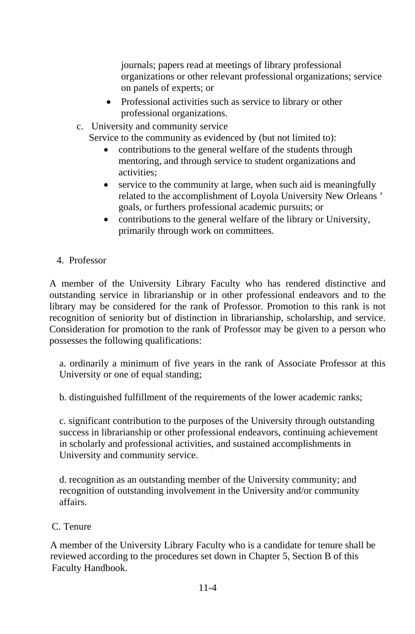journals; papers read at meetings of library professional organizations or other relevant professional organizations; service on panels of experts; or

- Professional activities such as service to library or other professional organizations.
- c. University and community service
	- Service to the community as evidenced by (but not limited to):
		- contributions to the general welfare of the students through mentoring, and through service to student organizations and activities;
		- service to the community at large, when such aid is meaningfully related to the accomplishment of Loyola University New Orleans ' goals, or furthers professional academic pursuits; or
		- contributions to the general welfare of the library or University, primarily through work on committees.

# 4. Professor

A member of the University Library Faculty who has rendered distinctive and outstanding service in librarianship or in other professional endeavors and to the library may be considered for the rank of Professor. Promotion to this rank is not recognition of seniority but of distinction in librarianship, scholarship, and service. Consideration for promotion to the rank of Professor may be given to a person who possesses the following qualifications:

a. ordinarily a minimum of five years in the rank of Associate Professor at this University or one of equal standing;

b. distinguished fulfillment of the requirements of the lower academic ranks;

c. significant contribution to the purposes of the University through outstanding success in librarianship or other professional endeavors, continuing achievement in scholarly and professional activities, and sustained accomplishments in University and community service.

d. recognition as an outstanding member of the University community; and recognition of outstanding involvement in the University and/or community affairs.

# C. Tenure

A member of the University Library Faculty who is a candidate for tenure shall be reviewed according to the procedures set down in Chapter 5, Section B of this Faculty Handbook.